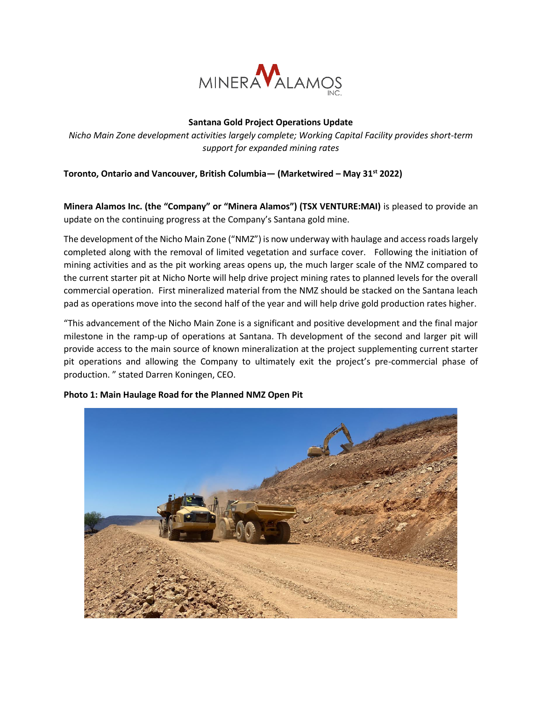

## **Santana Gold Project Operations Update**

*Nicho Main Zone development activities largely complete; Working Capital Facility provides short-term support for expanded mining rates*

# **Toronto, Ontario and Vancouver, British Columbia— (Marketwired – May 31st 2022)**

**Minera Alamos Inc. (the "Company" or "Minera Alamos") (TSX VENTURE:MAI)** is pleased to provide an update on the continuing progress at the Company's Santana gold mine.

The development of the Nicho Main Zone ("NMZ") is now underway with haulage and access roads largely completed along with the removal of limited vegetation and surface cover. Following the initiation of mining activities and as the pit working areas opens up, the much larger scale of the NMZ compared to the current starter pit at Nicho Norte will help drive project mining rates to planned levels for the overall commercial operation. First mineralized material from the NMZ should be stacked on the Santana leach pad as operations move into the second half of the year and will help drive gold production rates higher.

"This advancement of the Nicho Main Zone is a significant and positive development and the final major milestone in the ramp-up of operations at Santana. Th development of the second and larger pit will provide access to the main source of known mineralization at the project supplementing current starter pit operations and allowing the Company to ultimately exit the project's pre-commercial phase of production. " stated Darren Koningen, CEO.



### **Photo 1: Main Haulage Road for the Planned NMZ Open Pit**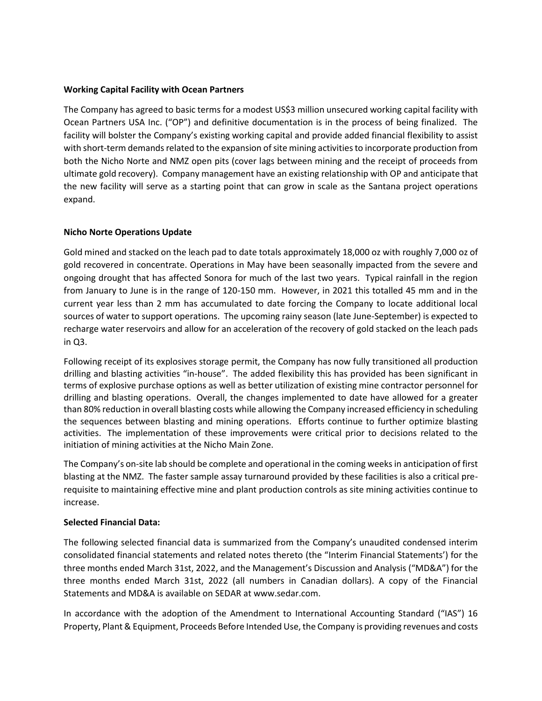### **Working Capital Facility with Ocean Partners**

The Company has agreed to basic terms for a modest US\$3 million unsecured working capital facility with Ocean Partners USA Inc. ("OP") and definitive documentation is in the process of being finalized. The facility will bolster the Company's existing working capital and provide added financial flexibility to assist with short-term demands related to the expansion of site mining activities to incorporate production from both the Nicho Norte and NMZ open pits (cover lags between mining and the receipt of proceeds from ultimate gold recovery). Company management have an existing relationship with OP and anticipate that the new facility will serve as a starting point that can grow in scale as the Santana project operations expand.

### **Nicho Norte Operations Update**

Gold mined and stacked on the leach pad to date totals approximately 18,000 oz with roughly 7,000 oz of gold recovered in concentrate. Operations in May have been seasonally impacted from the severe and ongoing drought that has affected Sonora for much of the last two years. Typical rainfall in the region from January to June is in the range of 120-150 mm. However, in 2021 this totalled 45 mm and in the current year less than 2 mm has accumulated to date forcing the Company to locate additional local sources of water to support operations. The upcoming rainy season (late June-September) is expected to recharge water reservoirs and allow for an acceleration of the recovery of gold stacked on the leach pads in Q3.

Following receipt of its explosives storage permit, the Company has now fully transitioned all production drilling and blasting activities "in-house". The added flexibility this has provided has been significant in terms of explosive purchase options as well as better utilization of existing mine contractor personnel for drilling and blasting operations. Overall, the changes implemented to date have allowed for a greater than 80% reduction in overall blasting costs while allowing the Company increased efficiency in scheduling the sequences between blasting and mining operations. Efforts continue to further optimize blasting activities. The implementation of these improvements were critical prior to decisions related to the initiation of mining activities at the Nicho Main Zone.

The Company's on-site lab should be complete and operational in the coming weeks in anticipation of first blasting at the NMZ. The faster sample assay turnaround provided by these facilities is also a critical prerequisite to maintaining effective mine and plant production controls as site mining activities continue to increase.

### **Selected Financial Data:**

The following selected financial data is summarized from the Company's unaudited condensed interim consolidated financial statements and related notes thereto (the "Interim Financial Statements') for the three months ended March 31st, 2022, and the Management's Discussion and Analysis ("MD&A") for the three months ended March 31st, 2022 (all numbers in Canadian dollars). A copy of the Financial Statements and MD&A is available on SEDAR at www.sedar.com.

In accordance with the adoption of the Amendment to International Accounting Standard ("IAS") 16 Property, Plant & Equipment, Proceeds Before Intended Use, the Company is providing revenues and costs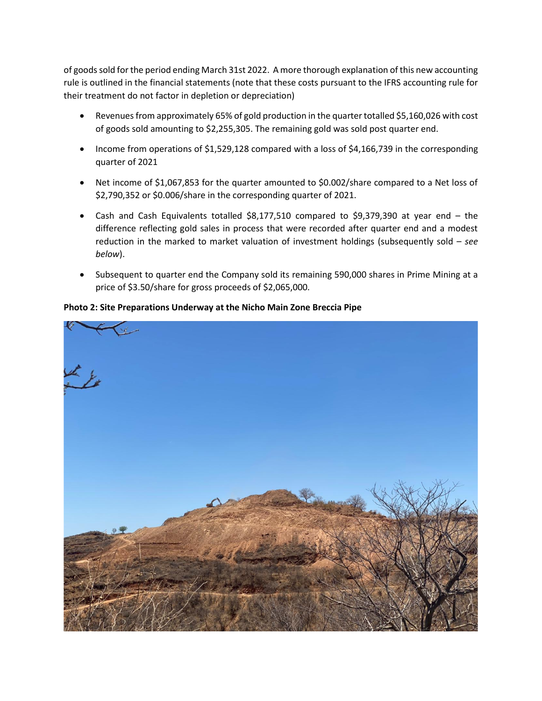of goods sold for the period ending March 31st 2022. A more thorough explanation of this new accounting rule is outlined in the financial statements (note that these costs pursuant to the IFRS accounting rule for their treatment do not factor in depletion or depreciation)

- Revenues from approximately 65% of gold production in the quarter totalled \$5,160,026 with cost of goods sold amounting to \$2,255,305. The remaining gold was sold post quarter end.
- Income from operations of \$1,529,128 compared with a loss of \$4,166,739 in the corresponding quarter of 2021
- Net income of \$1,067,853 for the quarter amounted to \$0.002/share compared to a Net loss of \$2,790,352 or \$0.006/share in the corresponding quarter of 2021.
- Cash and Cash Equivalents totalled \$8,177,510 compared to \$9,379,390 at year end the difference reflecting gold sales in process that were recorded after quarter end and a modest reduction in the marked to market valuation of investment holdings (subsequently sold – *see below*).
- Subsequent to quarter end the Company sold its remaining 590,000 shares in Prime Mining at a price of \$3.50/share for gross proceeds of \$2,065,000.



### **Photo 2: Site Preparations Underway at the Nicho Main Zone Breccia Pipe**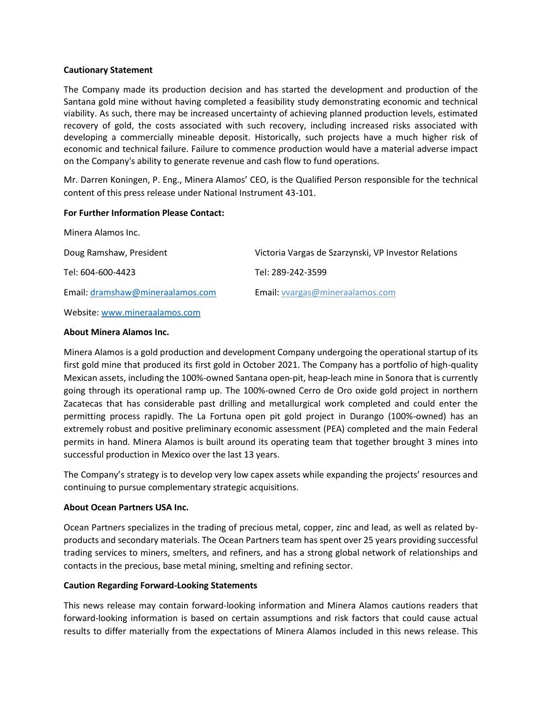#### **Cautionary Statement**

The Company made its production decision and has started the development and production of the Santana gold mine without having completed a feasibility study demonstrating economic and technical viability. As such, there may be increased uncertainty of achieving planned production levels, estimated recovery of gold, the costs associated with such recovery, including increased risks associated with developing a commercially mineable deposit. Historically, such projects have a much higher risk of economic and technical failure. Failure to commence production would have a material adverse impact on the Company's ability to generate revenue and cash flow to fund operations.

Mr. Darren Koningen, P. Eng., Minera Alamos' CEO, is the Qualified Person responsible for the technical content of this press release under National Instrument 43-101.

#### **For Further Information Please Contact:**

| Minera Alamos Inc.               |                                                      |
|----------------------------------|------------------------------------------------------|
| Doug Ramshaw, President          | Victoria Vargas de Szarzynski, VP Investor Relations |
| Tel: 604-600-4423                | Tel: 289-242-3599                                    |
| Email: dramshaw@mineraalamos.com | Email: vvargas@mineraalamos.com                      |
| Website: www.mineraalamos.com    |                                                      |

### **About Minera Alamos Inc.**

Minera Alamos is a gold production and development Company undergoing the operational startup of its first gold mine that produced its first gold in October 2021. The Company has a portfolio of high-quality Mexican assets, including the 100%-owned Santana open-pit, heap-leach mine in Sonora that is currently going through its operational ramp up. The 100%-owned Cerro de Oro oxide gold project in northern Zacatecas that has considerable past drilling and metallurgical work completed and could enter the permitting process rapidly. The La Fortuna open pit gold project in Durango (100%-owned) has an extremely robust and positive preliminary economic assessment (PEA) completed and the main Federal permits in hand. Minera Alamos is built around its operating team that together brought 3 mines into successful production in Mexico over the last 13 years.

The Company's strategy is to develop very low capex assets while expanding the projects' resources and continuing to pursue complementary strategic acquisitions.

### **About Ocean Partners USA Inc.**

Ocean Partners specializes in the trading of precious metal, copper, zinc and lead, as well as related byproducts and secondary materials. The Ocean Partners team has spent over 25 years providing successful trading services to miners, smelters, and refiners, and has a strong global network of relationships and contacts in the precious, base metal mining, smelting and refining sector.

# **Caution Regarding Forward-Looking Statements**

This news release may contain forward-looking information and Minera Alamos cautions readers that forward-looking information is based on certain assumptions and risk factors that could cause actual results to differ materially from the expectations of Minera Alamos included in this news release. This